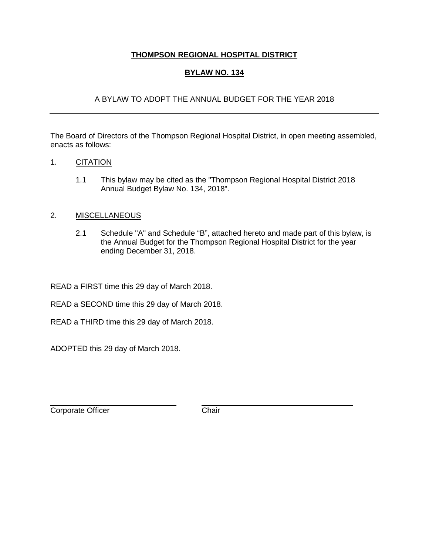## **THOMPSON REGIONAL HOSPITAL DISTRICT**

## **BYLAW NO. 134**

## A BYLAW TO ADOPT THE ANNUAL BUDGET FOR THE YEAR 2018

The Board of Directors of the Thompson Regional Hospital District, in open meeting assembled, enacts as follows:

### 1. CITATION

1.1 This bylaw may be cited as the "Thompson Regional Hospital District 2018 Annual Budget Bylaw No. 134, 2018".

#### 2. MISCELLANEOUS

2.1 Schedule "A" and Schedule "B", attached hereto and made part of this bylaw, is the Annual Budget for the Thompson Regional Hospital District for the year ending December 31, 2018.

READ a FIRST time this 29 day of March 2018.

READ a SECOND time this 29 day of March 2018.

READ a THIRD time this 29 day of March 2018.

ADOPTED this 29 day of March 2018.

Corporate Officer Chair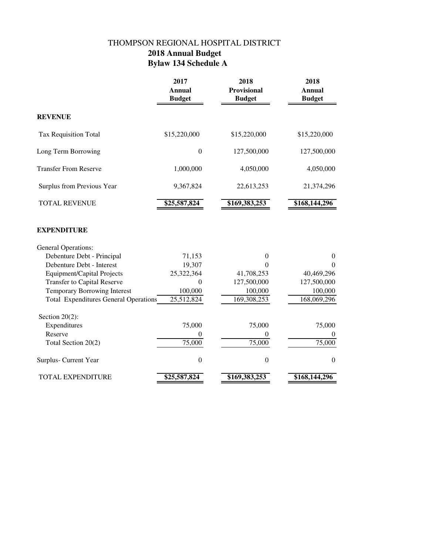# THOMPSON REGIONAL HOSPITAL DISTRICT  **2018 Annual Budget Bylaw 134 Schedule A**

|                                              | 2017<br><b>Annual</b><br><b>Budget</b> | 2018<br>Provisional<br><b>Budget</b> | 2018<br><b>Annual</b><br><b>Budget</b> |
|----------------------------------------------|----------------------------------------|--------------------------------------|----------------------------------------|
| <b>REVENUE</b>                               |                                        |                                      |                                        |
| Tax Requisition Total                        | \$15,220,000                           | \$15,220,000                         | \$15,220,000                           |
| Long Term Borrowing                          | $\boldsymbol{0}$                       | 127,500,000                          | 127,500,000                            |
| <b>Transfer From Reserve</b>                 | 1,000,000                              | 4,050,000                            | 4,050,000                              |
| Surplus from Previous Year                   | 9,367,824                              | 22,613,253                           | 21,374,296                             |
| <b>TOTAL REVENUE</b>                         | \$25,587,824                           | \$169,383,253                        | \$168,144,296                          |
| <b>EXPENDITURE</b>                           |                                        |                                      |                                        |
| General Operations:                          |                                        |                                      |                                        |
| Debenture Debt - Principal                   | 71,153                                 | $\theta$                             | $\boldsymbol{0}$                       |
| Debenture Debt - Interest                    | 19,307                                 | 0                                    | $\Omega$                               |
| <b>Equipment/Capital Projects</b>            | 25,322,364                             | 41,708,253                           | 40,469,296                             |
| <b>Transfer to Capital Reserve</b>           | $\boldsymbol{0}$                       | 127,500,000                          | 127,500,000                            |
| <b>Temporary Borrowing Interest</b>          | 100,000                                | 100,000                              | 100,000                                |
| <b>Total Expenditures General Operations</b> | 25,512,824                             | 169,308,253                          | 168,069,296                            |
| Section $20(2)$ :                            |                                        |                                      |                                        |
| Expenditures                                 | 75,000                                 | 75,000                               | 75,000                                 |
| Reserve                                      | 0                                      | $\theta$                             | $\theta$                               |
| Total Section 20(2)                          | 75,000                                 | 75,000                               | 75,000                                 |
| Surplus- Current Year                        | $\boldsymbol{0}$                       | $\boldsymbol{0}$                     | $\mathbf{0}$                           |
| <b>TOTAL EXPENDITURE</b>                     | \$25,587,824                           | \$169,383,253                        | $$168,1\overline{44,296}$              |